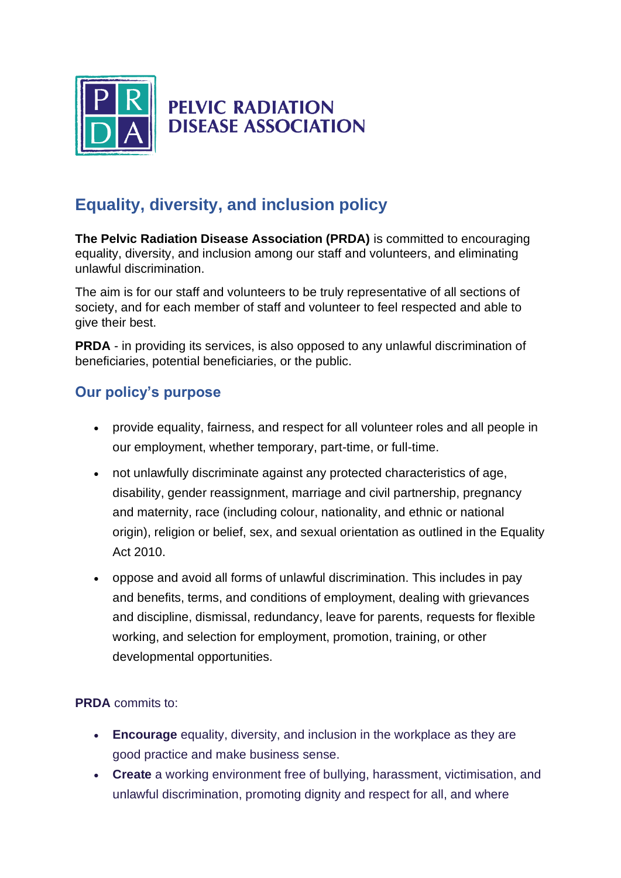

## **PELVIC RADIATION DISEASE ASSOCIATION**

## **Equality, diversity, and inclusion policy**

**The Pelvic Radiation Disease Association (PRDA)** is committed to encouraging equality, diversity, and inclusion among our staff and volunteers, and eliminating unlawful discrimination.

The aim is for our staff and volunteers to be truly representative of all sections of society, and for each member of staff and volunteer to feel respected and able to give their best.

**PRDA** - in providing its services, is also opposed to any unlawful discrimination of beneficiaries, potential beneficiaries, or the public.

## **Our policy's purpose**

- provide equality, fairness, and respect for all volunteer roles and all people in our employment, whether temporary, part-time, or full-time.
- not unlawfully discriminate against any protected characteristics of age, disability, gender reassignment, marriage and civil partnership, pregnancy and maternity, race (including colour, nationality, and ethnic or national origin), religion or belief, sex, and sexual orientation as outlined in the Equality Act 2010.
- oppose and avoid all forms of unlawful discrimination. This includes in pay and benefits, terms, and conditions of employment, dealing with grievances and discipline, dismissal, redundancy, leave for parents, requests for flexible working, and selection for employment, promotion, training, or other developmental opportunities.

## **PRDA** commits to:

- **Encourage** equality, diversity, and inclusion in the workplace as they are good practice and make business sense.
- **Create** a working environment free of bullying, harassment, victimisation, and unlawful discrimination, promoting dignity and respect for all, and where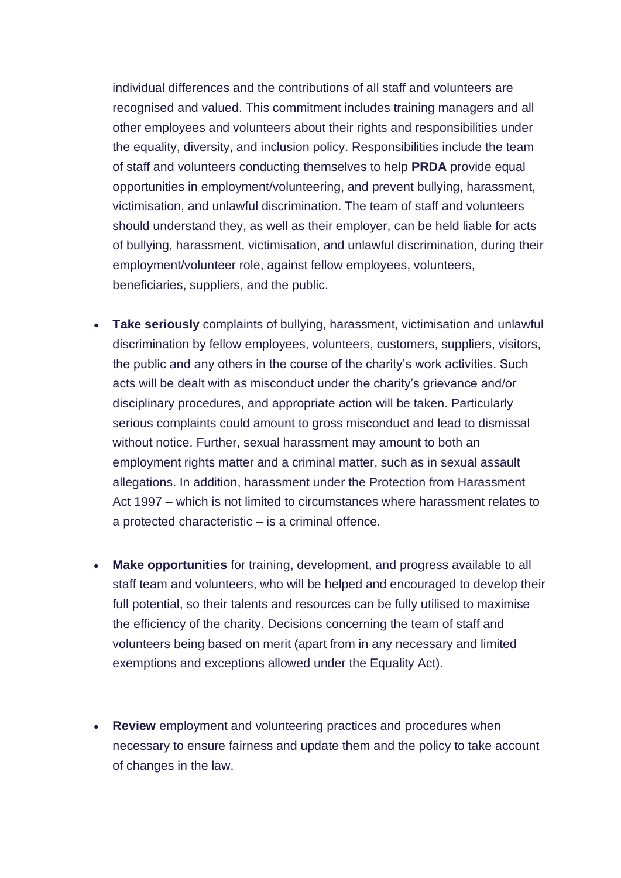individual differences and the contributions of all staff and volunteers are recognised and valued. This commitment includes training managers and all other employees and volunteers about their rights and responsibilities under the equality, diversity, and inclusion policy. Responsibilities include the team of staff and volunteers conducting themselves to help **PRDA** provide equal opportunities in employment/volunteering, and prevent bullying, harassment, victimisation, and unlawful discrimination. The team of staff and volunteers should understand they, as well as their employer, can be held liable for acts of bullying, harassment, victimisation, and unlawful discrimination, during their employment/volunteer role, against fellow employees, volunteers, beneficiaries, suppliers, and the public.

- **Take seriously** complaints of bullying, harassment, victimisation and unlawful discrimination by fellow employees, volunteers, customers, suppliers, visitors, the public and any others in the course of the charity's work activities. Such acts will be dealt with as misconduct under the charity's grievance and/or disciplinary procedures, and appropriate action will be taken. Particularly serious complaints could amount to gross misconduct and lead to dismissal without notice. Further, sexual harassment may amount to both an employment rights matter and a criminal matter, such as in sexual assault allegations. In addition, harassment under the Protection from Harassment Act 1997 – which is not limited to circumstances where harassment relates to a protected characteristic – is a criminal offence.
- **Make opportunities** for training, development, and progress available to all staff team and volunteers, who will be helped and encouraged to develop their full potential, so their talents and resources can be fully utilised to maximise the efficiency of the charity. Decisions concerning the team of staff and volunteers being based on merit (apart from in any necessary and limited exemptions and exceptions allowed under the Equality Act).
- **Review** employment and volunteering practices and procedures when necessary to ensure fairness and update them and the policy to take account of changes in the law.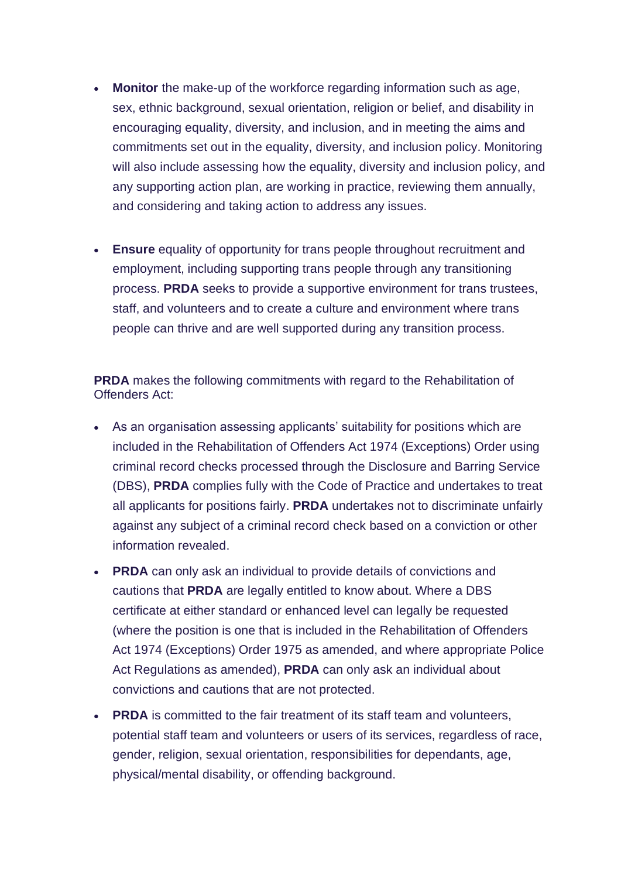- **Monitor** the make-up of the workforce regarding information such as age, sex, ethnic background, sexual orientation, religion or belief, and disability in encouraging equality, diversity, and inclusion, and in meeting the aims and commitments set out in the equality, diversity, and inclusion policy. Monitoring will also include assessing how the equality, diversity and inclusion policy, and any supporting action plan, are working in practice, reviewing them annually, and considering and taking action to address any issues.
- **Ensure** equality of opportunity for trans people throughout recruitment and employment, including supporting trans people through any transitioning process. **PRDA** seeks to provide a supportive environment for trans trustees, staff, and volunteers and to create a culture and environment where trans people can thrive and are well supported during any transition process.

**PRDA** makes the following commitments with regard to the Rehabilitation of Offenders Act:

- As an organisation assessing applicants' suitability for positions which are included in the Rehabilitation of Offenders Act 1974 (Exceptions) Order using criminal record checks processed through the Disclosure and Barring Service (DBS), **PRDA** complies fully with the Code of Practice and undertakes to treat all applicants for positions fairly. **PRDA** undertakes not to discriminate unfairly against any subject of a criminal record check based on a conviction or other information revealed.
- **PRDA** can only ask an individual to provide details of convictions and cautions that **PRDA** are legally entitled to know about. Where a DBS certificate at either standard or enhanced level can legally be requested (where the position is one that is included in the Rehabilitation of Offenders Act 1974 (Exceptions) Order 1975 as amended, and where appropriate Police Act Regulations as amended), **PRDA** can only ask an individual about convictions and cautions that are not protected.
- **PRDA** is committed to the fair treatment of its staff team and volunteers, potential staff team and volunteers or users of its services, regardless of race, gender, religion, sexual orientation, responsibilities for dependants, age, physical/mental disability, or offending background.